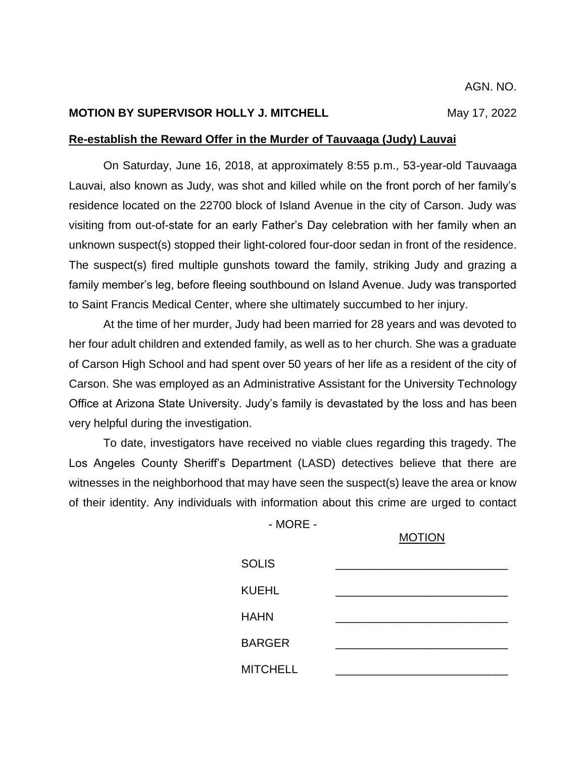#### **MOTION BY SUPERVISOR HOLLY J. MITCHELL** May 17, 2022

#### **Re-establish the Reward Offer in the Murder of Tauvaaga (Judy) Lauvai**

On Saturday, June 16, 2018, at approximately 8:55 p.m., 53-year-old Tauvaaga Lauvai, also known as Judy, was shot and killed while on the front porch of her family's residence located on the 22700 block of Island Avenue in the city of Carson. Judy was visiting from out-of-state for an early Father's Day celebration with her family when an unknown suspect(s) stopped their light-colored four-door sedan in front of the residence. The suspect(s) fired multiple gunshots toward the family, striking Judy and grazing a family member's leg, before fleeing southbound on Island Avenue. Judy was transported to Saint Francis Medical Center, where she ultimately succumbed to her injury.

At the time of her murder, Judy had been married for 28 years and was devoted to her four adult children and extended family, as well as to her church. She was a graduate of Carson High School and had spent over 50 years of her life as a resident of the city of Carson. She was employed as an Administrative Assistant for the University Technology Office at Arizona State University. Judy's family is devastated by the loss and has been very helpful during the investigation.

To date, investigators have received no viable clues regarding this tragedy. The Los Angeles County Sheriff's Department (LASD) detectives believe that there are witnesses in the neighborhood that may have seen the suspect(s) leave the area or know of their identity. Any individuals with information about this crime are urged to contact

- MORE -

## MOTION

| <b>SOLIS</b>    |  |
|-----------------|--|
| <b>KUEHL</b>    |  |
| <b>HAHN</b>     |  |
| <b>BARGER</b>   |  |
| <b>MITCHELL</b> |  |